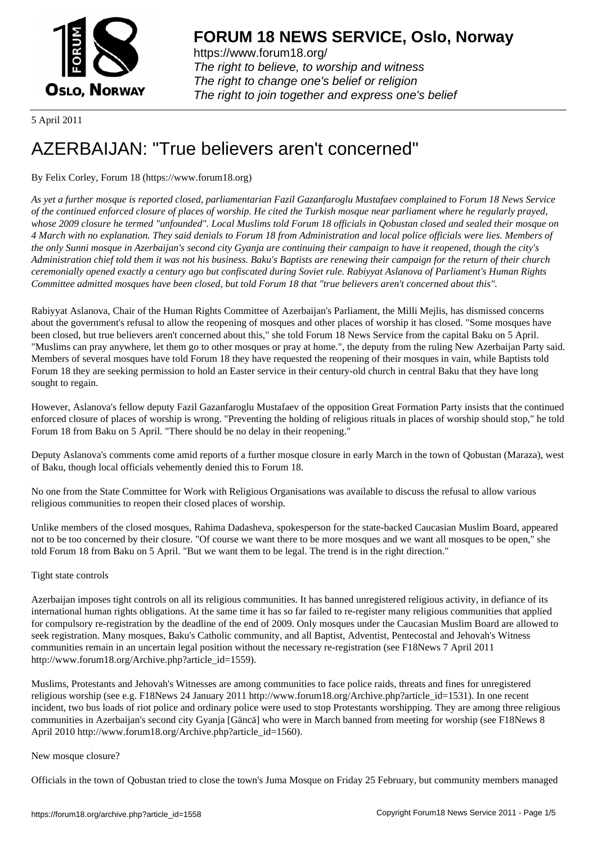

https://www.forum18.org/ The right to believe, to worship and witness The right to change one's belief or religion [The right to join together a](https://www.forum18.org/)nd express one's belief

5 April 2011

# [AZERBAIJAN: "](https://www.forum18.org)True believers aren't concerned"

## By Felix Corley, Forum 18 (https://www.forum18.org)

*As yet a further mosque is reported closed, parliamentarian Fazil Gazanfaroglu Mustafaev complained to Forum 18 News Service of the continued enforced closure of places of worship. He cited the Turkish mosque near parliament where he regularly prayed, whose 2009 closure he termed "unfounded". Local Muslims told Forum 18 officials in Qobustan closed and sealed their mosque on 4 March with no explanation. They said denials to Forum 18 from Administration and local police officials were lies. Members of the only Sunni mosque in Azerbaijan's second city Gyanja are continuing their campaign to have it reopened, though the city's Administration chief told them it was not his business. Baku's Baptists are renewing their campaign for the return of their church ceremonially opened exactly a century ago but confiscated during Soviet rule. Rabiyyat Aslanova of Parliament's Human Rights Committee admitted mosques have been closed, but told Forum 18 that "true believers aren't concerned about this".*

Rabiyyat Aslanova, Chair of the Human Rights Committee of Azerbaijan's Parliament, the Milli Mejlis, has dismissed concerns about the government's refusal to allow the reopening of mosques and other places of worship it has closed. "Some mosques have been closed, but true believers aren't concerned about this," she told Forum 18 News Service from the capital Baku on 5 April. "Muslims can pray anywhere, let them go to other mosques or pray at home.", the deputy from the ruling New Azerbaijan Party said. Members of several mosques have told Forum 18 they have requested the reopening of their mosques in vain, while Baptists told Forum 18 they are seeking permission to hold an Easter service in their century-old church in central Baku that they have long sought to regain.

However, Aslanova's fellow deputy Fazil Gazanfaroglu Mustafaev of the opposition Great Formation Party insists that the continued enforced closure of places of worship is wrong. "Preventing the holding of religious rituals in places of worship should stop," he told Forum 18 from Baku on 5 April. "There should be no delay in their reopening."

Deputy Aslanova's comments come amid reports of a further mosque closure in early March in the town of Qobustan (Maraza), west of Baku, though local officials vehemently denied this to Forum 18.

No one from the State Committee for Work with Religious Organisations was available to discuss the refusal to allow various religious communities to reopen their closed places of worship.

Unlike members of the closed mosques, Rahima Dadasheva, spokesperson for the state-backed Caucasian Muslim Board, appeared not to be too concerned by their closure. "Of course we want there to be more mosques and we want all mosques to be open," she told Forum 18 from Baku on 5 April. "But we want them to be legal. The trend is in the right direction."

### Tight state controls

Azerbaijan imposes tight controls on all its religious communities. It has banned unregistered religious activity, in defiance of its international human rights obligations. At the same time it has so far failed to re-register many religious communities that applied for compulsory re-registration by the deadline of the end of 2009. Only mosques under the Caucasian Muslim Board are allowed to seek registration. Many mosques, Baku's Catholic community, and all Baptist, Adventist, Pentecostal and Jehovah's Witness communities remain in an uncertain legal position without the necessary re-registration (see F18News 7 April 2011 http://www.forum18.org/Archive.php?article\_id=1559).

Muslims, Protestants and Jehovah's Witnesses are among communities to face police raids, threats and fines for unregistered religious worship (see e.g. F18News 24 January 2011 http://www.forum18.org/Archive.php?article\_id=1531). In one recent incident, two bus loads of riot police and ordinary police were used to stop Protestants worshipping. They are among three religious communities in Azerbaijan's second city Gyanja [Gäncä] who were in March banned from meeting for worship (see F18News 8 April 2010 http://www.forum18.org/Archive.php?article\_id=1560).

### New mosque closure?

Officials in the town of Qobustan tried to close the town's Juma Mosque on Friday 25 February, but community members managed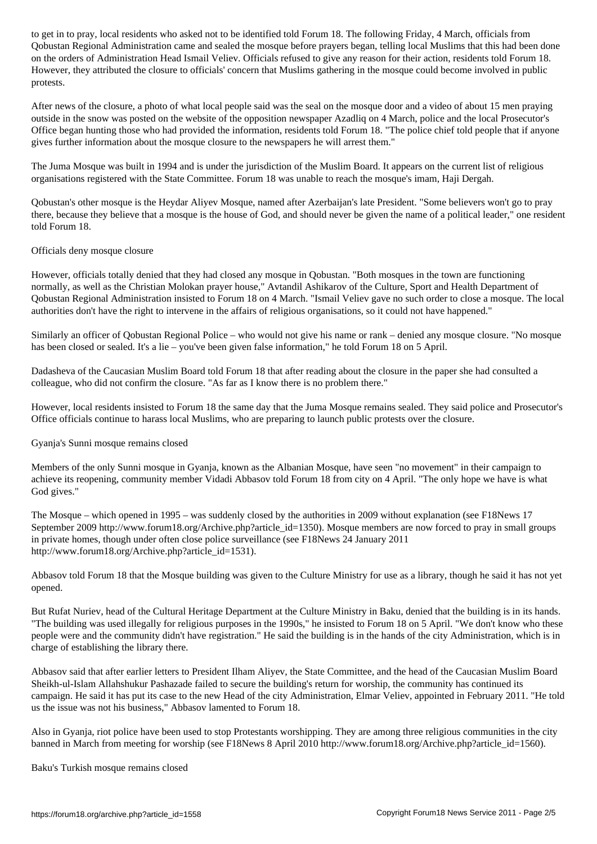$\boldsymbol{\mathcal{S}}$  and sealed the most prayers before prayers before prayers before prayers before prayers before prayers before prayers before prayers that the most prayers between dones and between dones and between dones and on the orders of Administration Head Ismail Veliev. Officials refused to give any reason for their action, residents told Forum 18. However, they attributed the closure to officials' concern that Muslims gathering in the mosque could become involved in public protests.

After news of the closure, a photo of what local people said was the seal on the mosque door and a video of about 15 men praying outside in the snow was posted on the website of the opposition newspaper Azadliq on 4 March, police and the local Prosecutor's Office began hunting those who had provided the information, residents told Forum 18. "The police chief told people that if anyone gives further information about the mosque closure to the newspapers he will arrest them."

The Juma Mosque was built in 1994 and is under the jurisdiction of the Muslim Board. It appears on the current list of religious organisations registered with the State Committee. Forum 18 was unable to reach the mosque's imam, Haji Dergah.

Qobustan's other mosque is the Heydar Aliyev Mosque, named after Azerbaijan's late President. "Some believers won't go to pray there, because they believe that a mosque is the house of God, and should never be given the name of a political leader," one resident told Forum 18.

### Officials deny mosque closure

However, officials totally denied that they had closed any mosque in Qobustan. "Both mosques in the town are functioning normally, as well as the Christian Molokan prayer house," Avtandil Ashikarov of the Culture, Sport and Health Department of Qobustan Regional Administration insisted to Forum 18 on 4 March. "Ismail Veliev gave no such order to close a mosque. The local authorities don't have the right to intervene in the affairs of religious organisations, so it could not have happened."

Similarly an officer of Qobustan Regional Police – who would not give his name or rank – denied any mosque closure. "No mosque has been closed or sealed. It's a lie – you've been given false information," he told Forum 18 on 5 April.

Dadasheva of the Caucasian Muslim Board told Forum 18 that after reading about the closure in the paper she had consulted a colleague, who did not confirm the closure. "As far as I know there is no problem there."

However, local residents insisted to Forum 18 the same day that the Juma Mosque remains sealed. They said police and Prosecutor's Office officials continue to harass local Muslims, who are preparing to launch public protests over the closure.

Gyanja's Sunni mosque remains closed

Members of the only Sunni mosque in Gyanja, known as the Albanian Mosque, have seen "no movement" in their campaign to achieve its reopening, community member Vidadi Abbasov told Forum 18 from city on 4 April. "The only hope we have is what God gives."

The Mosque – which opened in 1995 – was suddenly closed by the authorities in 2009 without explanation (see F18News 17 September 2009 http://www.forum18.org/Archive.php?article\_id=1350). Mosque members are now forced to pray in small groups in private homes, though under often close police surveillance (see F18News 24 January 2011 http://www.forum18.org/Archive.php?article\_id=1531).

Abbasov told Forum 18 that the Mosque building was given to the Culture Ministry for use as a library, though he said it has not yet opened.

But Rufat Nuriev, head of the Cultural Heritage Department at the Culture Ministry in Baku, denied that the building is in its hands. "The building was used illegally for religious purposes in the 1990s," he insisted to Forum 18 on 5 April. "We don't know who these people were and the community didn't have registration." He said the building is in the hands of the city Administration, which is in charge of establishing the library there.

Abbasov said that after earlier letters to President Ilham Aliyev, the State Committee, and the head of the Caucasian Muslim Board Sheikh-ul-Islam Allahshukur Pashazade failed to secure the building's return for worship, the community has continued its campaign. He said it has put its case to the new Head of the city Administration, Elmar Veliev, appointed in February 2011. "He told us the issue was not his business," Abbasov lamented to Forum 18.

Also in Gyanja, riot police have been used to stop Protestants worshipping. They are among three religious communities in the city banned in March from meeting for worship (see F18News 8 April 2010 http://www.forum18.org/Archive.php?article\_id=1560).

Baku's Turkish mosque remains closed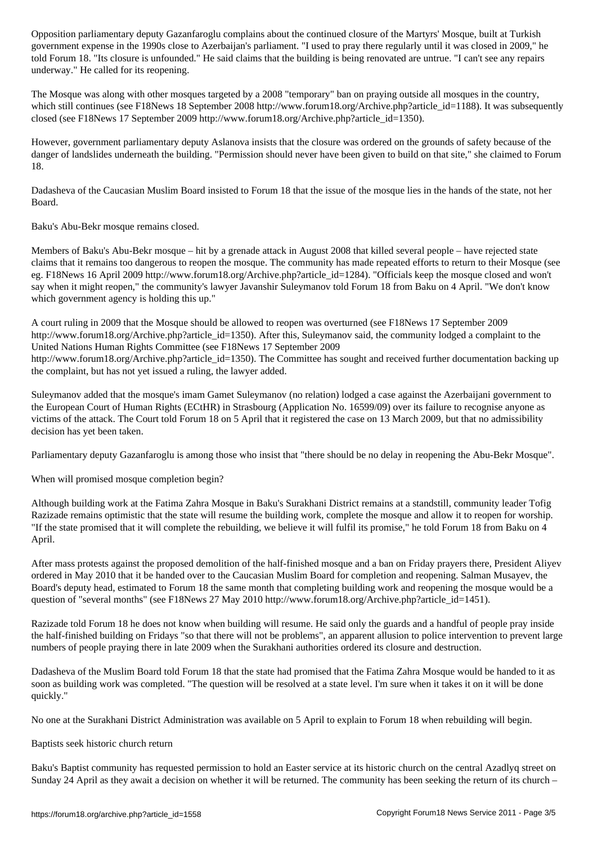government expense in the 1990s close to Azerbaijan's parliament. "I used to pray there regularly until it was closed in 2009," he told Forum 18. "Its closure is unfounded." He said claims that the building is being renovated are untrue. "I can't see any repairs underway." He called for its reopening.

The Mosque was along with other mosques targeted by a 2008 "temporary" ban on praying outside all mosques in the country, which still continues (see F18News 18 September 2008 http://www.forum18.org/Archive.php?article\_id=1188). It was subsequently closed (see F18News 17 September 2009 http://www.forum18.org/Archive.php?article\_id=1350).

However, government parliamentary deputy Aslanova insists that the closure was ordered on the grounds of safety because of the danger of landslides underneath the building. "Permission should never have been given to build on that site," she claimed to Forum 18.

Dadasheva of the Caucasian Muslim Board insisted to Forum 18 that the issue of the mosque lies in the hands of the state, not her Board.

Baku's Abu-Bekr mosque remains closed.

Members of Baku's Abu-Bekr mosque – hit by a grenade attack in August 2008 that killed several people – have rejected state claims that it remains too dangerous to reopen the mosque. The community has made repeated efforts to return to their Mosque (see eg. F18News 16 April 2009 http://www.forum18.org/Archive.php?article\_id=1284). "Officials keep the mosque closed and won't say when it might reopen," the community's lawyer Javanshir Suleymanov told Forum 18 from Baku on 4 April. "We don't know which government agency is holding this up."

A court ruling in 2009 that the Mosque should be allowed to reopen was overturned (see F18News 17 September 2009 http://www.forum18.org/Archive.php?article\_id=1350). After this, Suleymanov said, the community lodged a complaint to the United Nations Human Rights Committee (see F18News 17 September 2009 http://www.forum18.org/Archive.php?article\_id=1350). The Committee has sought and received further documentation backing up the complaint, but has not yet issued a ruling, the lawyer added.

Suleymanov added that the mosque's imam Gamet Suleymanov (no relation) lodged a case against the Azerbaijani government to the European Court of Human Rights (ECtHR) in Strasbourg (Application No. 16599/09) over its failure to recognise anyone as victims of the attack. The Court told Forum 18 on 5 April that it registered the case on 13 March 2009, but that no admissibility decision has yet been taken.

Parliamentary deputy Gazanfaroglu is among those who insist that "there should be no delay in reopening the Abu-Bekr Mosque".

When will promised mosque completion begin?

Although building work at the Fatima Zahra Mosque in Baku's Surakhani District remains at a standstill, community leader Tofig Razizade remains optimistic that the state will resume the building work, complete the mosque and allow it to reopen for worship. "If the state promised that it will complete the rebuilding, we believe it will fulfil its promise," he told Forum 18 from Baku on 4 April.

After mass protests against the proposed demolition of the half-finished mosque and a ban on Friday prayers there, President Aliyev ordered in May 2010 that it be handed over to the Caucasian Muslim Board for completion and reopening. Salman Musayev, the Board's deputy head, estimated to Forum 18 the same month that completing building work and reopening the mosque would be a question of "several months" (see F18News 27 May 2010 http://www.forum18.org/Archive.php?article\_id=1451).

Razizade told Forum 18 he does not know when building will resume. He said only the guards and a handful of people pray inside the half-finished building on Fridays "so that there will not be problems", an apparent allusion to police intervention to prevent large numbers of people praying there in late 2009 when the Surakhani authorities ordered its closure and destruction.

Dadasheva of the Muslim Board told Forum 18 that the state had promised that the Fatima Zahra Mosque would be handed to it as soon as building work was completed. "The question will be resolved at a state level. I'm sure when it takes it on it will be done quickly."

No one at the Surakhani District Administration was available on 5 April to explain to Forum 18 when rebuilding will begin.

Baptists seek historic church return

Baku's Baptist community has requested permission to hold an Easter service at its historic church on the central Azadlyq street on Sunday 24 April as they await a decision on whether it will be returned. The community has been seeking the return of its church –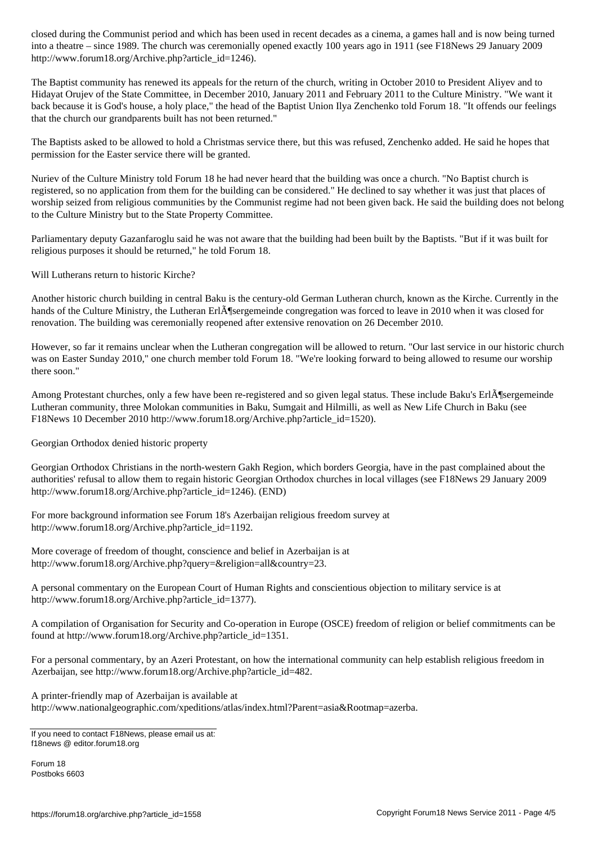into a theatre – since 1989. The church was ceremonially opened exactly 100 years ago in 1911 (see F18News 29 January 2009 http://www.forum18.org/Archive.php?article\_id=1246).

The Baptist community has renewed its appeals for the return of the church, writing in October 2010 to President Aliyev and to Hidayat Orujev of the State Committee, in December 2010, January 2011 and February 2011 to the Culture Ministry. "We want it back because it is God's house, a holy place," the head of the Baptist Union Ilya Zenchenko told Forum 18. "It offends our feelings that the church our grandparents built has not been returned."

The Baptists asked to be allowed to hold a Christmas service there, but this was refused, Zenchenko added. He said he hopes that permission for the Easter service there will be granted.

Nuriev of the Culture Ministry told Forum 18 he had never heard that the building was once a church. "No Baptist church is registered, so no application from them for the building can be considered." He declined to say whether it was just that places of worship seized from religious communities by the Communist regime had not been given back. He said the building does not belong to the Culture Ministry but to the State Property Committee.

Parliamentary deputy Gazanfaroglu said he was not aware that the building had been built by the Baptists. "But if it was built for religious purposes it should be returned," he told Forum 18.

Will Lutherans return to historic Kirche?

Another historic church building in central Baku is the century-old German Lutheran church, known as the Kirche. Currently in the hands of the Culture Ministry, the Lutheran Erl $\tilde{A}$ ¶sergemeinde congregation was forced to leave in 2010 when it was closed for renovation. The building was ceremonially reopened after extensive renovation on 26 December 2010.

However, so far it remains unclear when the Lutheran congregation will be allowed to return. "Our last service in our historic church was on Easter Sunday 2010," one church member told Forum 18. "We're looking forward to being allowed to resume our worship there soon."

Among Protestant churches, only a few have been re-registered and so given legal status. These include Baku's Erl $\tilde{A}$ ¶sergemeinde Lutheran community, three Molokan communities in Baku, Sumgait and Hilmilli, as well as New Life Church in Baku (see F18News 10 December 2010 http://www.forum18.org/Archive.php?article\_id=1520).

Georgian Orthodox denied historic property

Georgian Orthodox Christians in the north-western Gakh Region, which borders Georgia, have in the past complained about the authorities' refusal to allow them to regain historic Georgian Orthodox churches in local villages (see F18News 29 January 2009 http://www.forum18.org/Archive.php?article\_id=1246). (END)

For more background information see Forum 18's Azerbaijan religious freedom survey at http://www.forum18.org/Archive.php?article\_id=1192.

More coverage of freedom of thought, conscience and belief in Azerbaijan is at http://www.forum18.org/Archive.php?query=&religion=all&country=23.

A personal commentary on the European Court of Human Rights and conscientious objection to military service is at http://www.forum18.org/Archive.php?article\_id=1377).

A compilation of Organisation for Security and Co-operation in Europe (OSCE) freedom of religion or belief commitments can be found at http://www.forum18.org/Archive.php?article\_id=1351.

For a personal commentary, by an Azeri Protestant, on how the international community can help establish religious freedom in Azerbaijan, see http://www.forum18.org/Archive.php?article\_id=482.

A printer-friendly map of Azerbaijan is available at http://www.nationalgeographic.com/xpeditions/atlas/index.html?Parent=asia&Rootmap=azerba.

Forum 18 Postboks 6603

If you need to contact F18News, please email us at: f18news @ editor.forum18.org